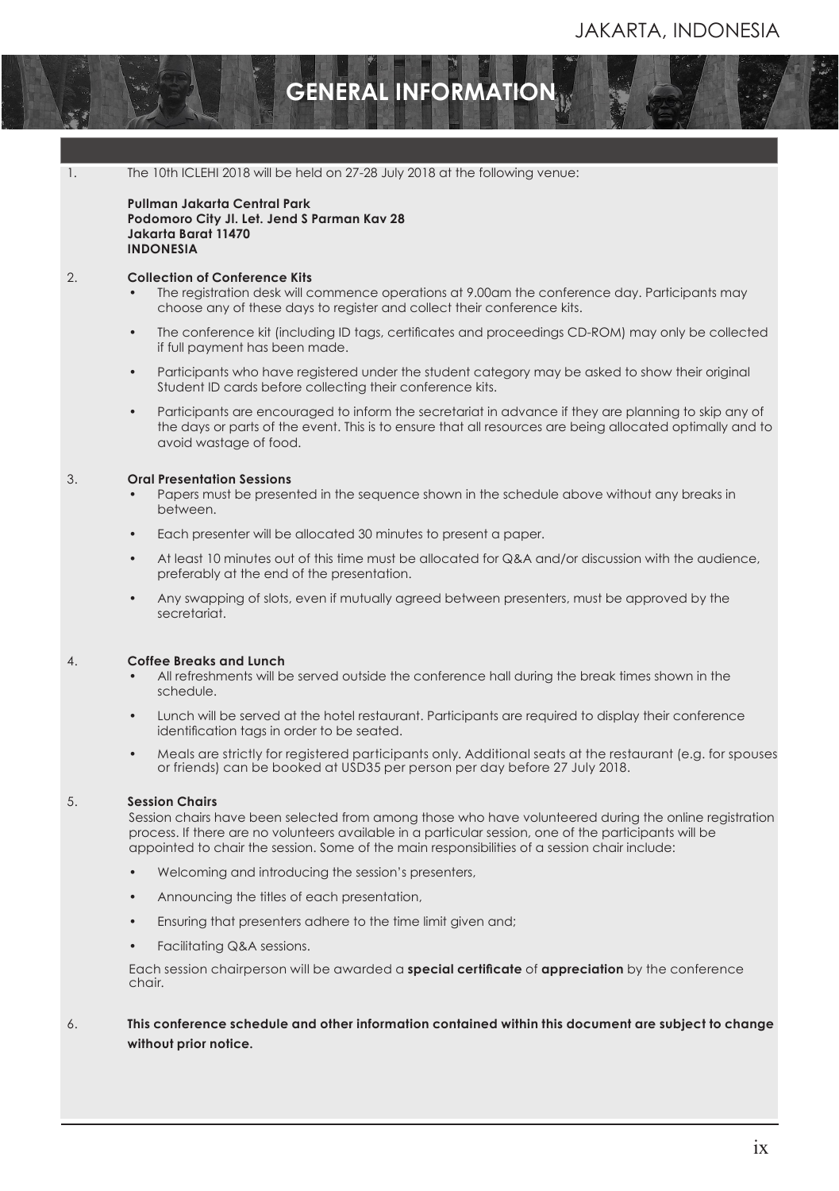## **GENERAL INFORMATION**

1. The 10th ICLEHI 2018 will be held on 27-28 July 2018 at the following venue:

**Pullman Jakarta Central Park Podomoro City Jl. Let. Jend S Parman Kav 28 Jakarta Barat 11470 INDONESIA**

#### 2. **Collection of Conference Kits**

Registration

- The registration desk will commence operations at 9.00am the conference day. Participants may choose any of these days to register and collect their conference kits.
- The conference kit (including ID tags, certifcates and proceedings CD-ROM) may only be collected if full payment has been made.
- Participants who have registered under the student category may be asked to show their original Student ID cards before collecting their conference kits.
- Participants are encouraged to inform the secretariat in advance if they are planning to skip any of the days or parts of the event. This is to ensure that all resources are being allocated optimally and to avoid wastage of food.

#### 3. **Oral Presentation Sessions**

- Papers must be presented in the sequence shown in the schedule above without any breaks in between.
- Each presenter will be allocated 30 minutes to present a paper.
- At least 10 minutes out of this time must be allocated for Q&A and/or discussion with the audience, preferably at the end of the presentation.
- Any swapping of slots, even if mutually agreed between presenters, must be approved by the secretariat.

#### 4. **Coffee Breaks and Lunch**

- All refreshments will be served outside the conference hall during the break times shown in the schedule.
- Lunch will be served at the hotel restaurant. Participants are required to display their conference identifcation tags in order to be seated.
- Meals are strictly for registered participants only. Additional seats at the restaurant (e.g. for spouses or friends) can be booked at USD35 per person per day before 27 July 2018.

#### 5. **Session Chairs**

Session chairs have been selected from among those who have volunteered during the online registration process. If there are no volunteers available in a particular session, one of the participants will be appointed to chair the session. Some of the main responsibilities of a session chair include:

- Welcoming and introducing the session's presenters,
- Announcing the titles of each presentation,
- Ensuring that presenters adhere to the time limit given and;
- Facilitating Q&A sessions.

Each session chairperson will be awarded a **special certifcate** of **appreciation** by the conference chair.

6. **This conference schedule and other information contained within this document are subject to change without prior notice.**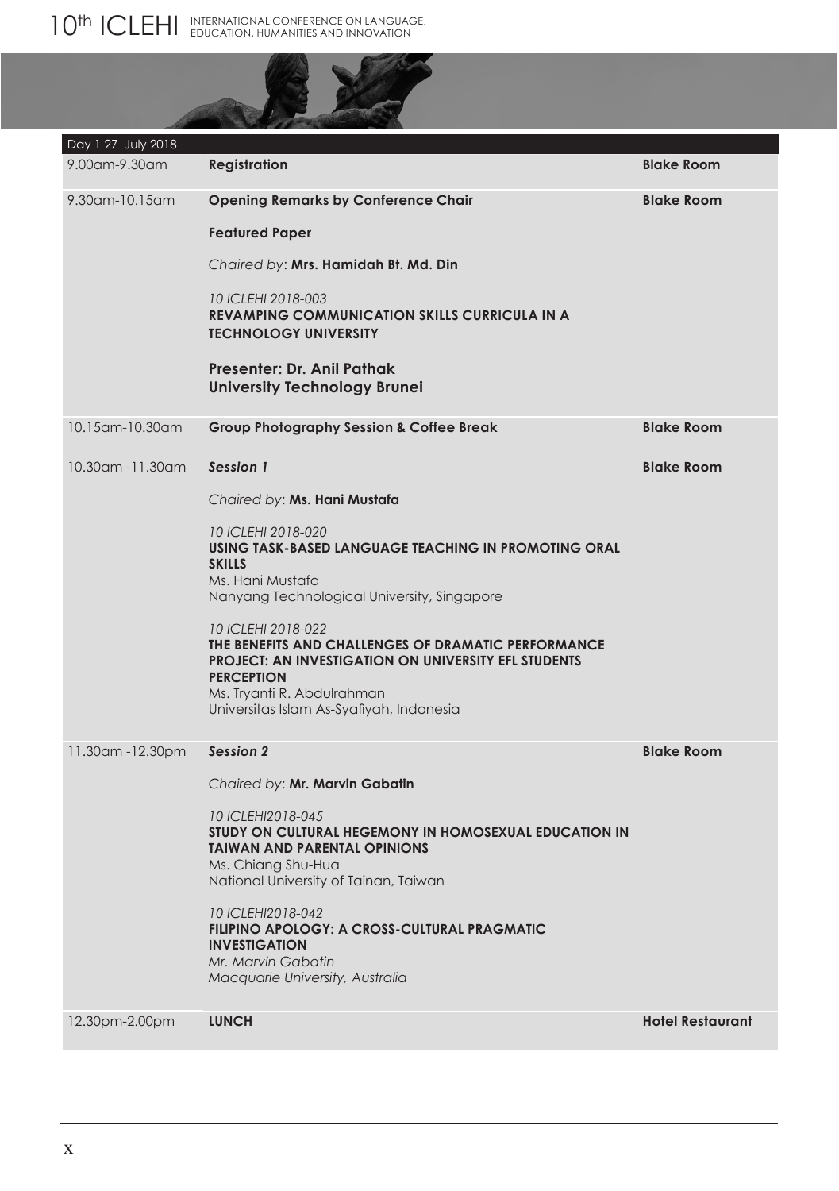# **AND**

| Day 1 27 July 2018  |                                                                                                                                                                                                                                         |                         |
|---------------------|-----------------------------------------------------------------------------------------------------------------------------------------------------------------------------------------------------------------------------------------|-------------------------|
| 9.00am-9.30am       | <b>Registration</b>                                                                                                                                                                                                                     | <b>Blake Room</b>       |
| 9.30 am-10.15 am    | <b>Opening Remarks by Conference Chair</b>                                                                                                                                                                                              | <b>Blake Room</b>       |
|                     | <b>Featured Paper</b>                                                                                                                                                                                                                   |                         |
|                     | Chaired by: Mrs. Hamidah Bt. Md. Din                                                                                                                                                                                                    |                         |
|                     | 10 ICLEHI 2018-003<br><b>REVAMPING COMMUNICATION SKILLS CURRICULA IN A</b><br><b>TECHNOLOGY UNIVERSITY</b>                                                                                                                              |                         |
|                     | Presenter: Dr. Anil Pathak<br><b>University Technology Brunei</b>                                                                                                                                                                       |                         |
| 10.15 am - 10.30 am | <b>Group Photography Session &amp; Coffee Break</b>                                                                                                                                                                                     | <b>Blake Room</b>       |
| 10.30am -11.30am    | Session 1                                                                                                                                                                                                                               | <b>Blake Room</b>       |
|                     | Chaired by: Ms. Hani Mustafa                                                                                                                                                                                                            |                         |
|                     | 10 ICLEHI 2018-020<br>USING TASK-BASED LANGUAGE TEACHING IN PROMOTING ORAL<br><b>SKILLS</b><br>Ms. Hani Mustafa<br>Nanyang Technological University, Singapore                                                                          |                         |
|                     | 10 ICLEHI 2018-022<br>THE BENEFITS AND CHALLENGES OF DRAMATIC PERFORMANCE<br><b>PROJECT: AN INVESTIGATION ON UNIVERSITY EFL STUDENTS</b><br><b>PERCEPTION</b><br>Ms. Tryanti R. Abdulrahman<br>Universitas Islam As-Syafiyah, Indonesia |                         |
| 11.30am - 12.30pm   | <b>Session 2</b>                                                                                                                                                                                                                        | <b>Blake Room</b>       |
|                     | Chaired by: Mr. Marvin Gabatin                                                                                                                                                                                                          |                         |
|                     | 10 ICLEHI2018-045<br>STUDY ON CULTURAL HEGEMONY IN HOMOSEXUAL EDUCATION IN<br><b>TAIWAN AND PARENTAL OPINIONS</b><br>Ms. Chiang Shu-Hua<br>National University of Tainan, Taiwan                                                        |                         |
|                     | 10 ICLEHI2018-042<br>FILIPINO APOLOGY: A CROSS-CULTURAL PRAGMATIC<br><b>INVESTIGATION</b><br>Mr. Marvin Gabatin<br>Macquarie University, Australia                                                                                      |                         |
| 12.30pm-2.00pm      | <b>LUNCH</b>                                                                                                                                                                                                                            | <b>Hotel Restaurant</b> |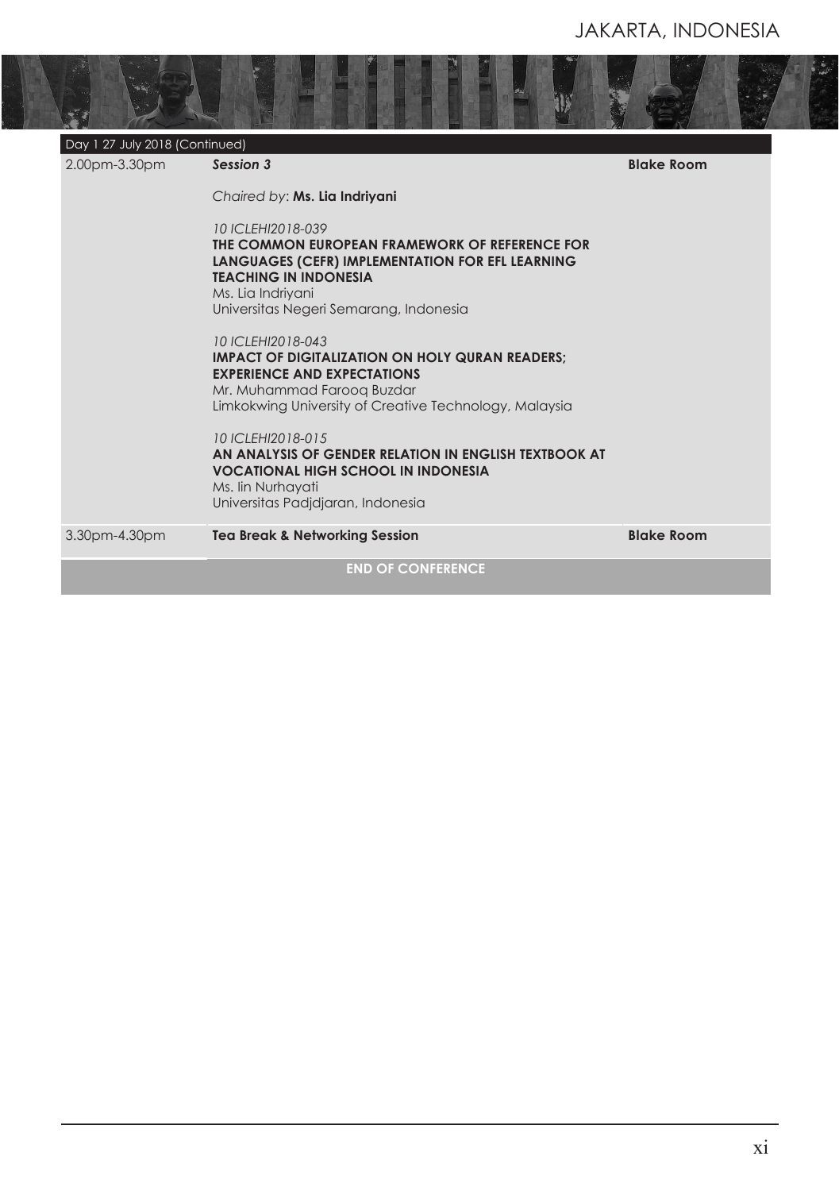| 2.00pm-3.30pm | Day 1 27 July 2018 (Continued)<br>Session 3                                                                                                                                                                            | <b>Blake Room</b> |
|---------------|------------------------------------------------------------------------------------------------------------------------------------------------------------------------------------------------------------------------|-------------------|
|               | Chaired by: Ms. Lia Indriyani                                                                                                                                                                                          |                   |
|               | 10 ICLEHI2018-039<br>THE COMMON EUROPEAN FRAMEWORK OF REFERENCE FOR<br>LANGUAGES (CEFR) IMPLEMENTATION FOR EFL LEARNING<br><b>TEACHING IN INDONESIA</b><br>Ms. Lia Indriyani<br>Universitas Negeri Semarang, Indonesia |                   |
|               | 10 ICI FHI2018-043<br><b>IMPACT OF DIGITALIZATION ON HOLY QURAN READERS:</b><br><b>EXPERIENCE AND EXPECTATIONS</b><br>Mr. Muhammad Faroog Buzdar<br>Limkokwing University of Creative Technology, Malaysia             |                   |
|               | 10 ICLEHI2018-015<br>AN ANALYSIS OF GENDER RELATION IN ENGLISH TEXTBOOK AT<br><b>VOCATIONAL HIGH SCHOOL IN INDONESIA</b><br>Ms. Iin Nurhayati<br>Universitas Padidiaran, Indonesia                                     |                   |
| 3.30pm-4.30pm | <b>Tea Break &amp; Networking Session</b>                                                                                                                                                                              | <b>Blake Room</b> |